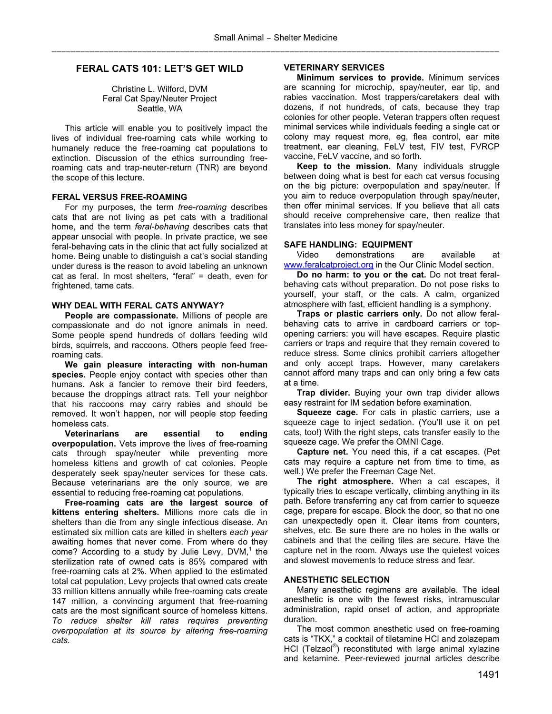# **FERAL CATS 101: LET'S GET WILD**

Christine L. Wilford, DVM Feral Cat Spay/Neuter Project Seattle, WA

This article will enable you to positively impact the lives of individual free-roaming cats while working to humanely reduce the free-roaming cat populations to extinction. Discussion of the ethics surrounding freeroaming cats and trap-neuter-return (TNR) are beyond the scope of this lecture.

## **FERAL VERSUS FREE-ROAMING**

 For my purposes, the term *free-roaming* describes cats that are not living as pet cats with a traditional home, and the term *feral-behaving* describes cats that appear unsocial with people. In private practice, we see feral-behaving cats in the clinic that act fully socialized at home. Being unable to distinguish a cat's social standing under duress is the reason to avoid labeling an unknown cat as feral. In most shelters, "feral" = death, even for frightened, tame cats.

### **WHY DEAL WITH FERAL CATS ANYWAY?**

**People are compassionate.** Millions of people are compassionate and do not ignore animals in need. Some people spend hundreds of dollars feeding wild birds, squirrels, and raccoons. Others people feed freeroaming cats.

**We gain pleasure interacting with non-human**  species. People enjoy contact with species other than humans. Ask a fancier to remove their bird feeders, because the droppings attract rats. Tell your neighbor that his raccoons may carry rabies and should be removed. It won't happen, nor will people stop feeding homeless cats.

**Veterinarians are essential to ending overpopulation.** Vets improve the lives of free-roaming cats through spay/neuter while preventing more homeless kittens and growth of cat colonies. People desperately seek spay/neuter services for these cats. Because veterinarians are the only source, we are essential to reducing free-roaming cat populations.

**Free-roaming cats are the largest source of kittens entering shelters.** Millions more cats die in shelters than die from any single infectious disease. An estimated six million cats are killed in shelters *each year* awaiting homes that never come. From where do they come? According to a study by Julie Levy, DVM, $<sup>1</sup>$  the</sup> sterilization rate of owned cats is 85% compared with free-roaming cats at 2%. When applied to the estimated total cat population, Levy projects that owned cats create 33 million kittens annually while free-roaming cats create 147 million, a convincing argument that free-roaming cats are the most significant source of homeless kittens. *To reduce shelter kill rates requires preventing overpopulation at its source by altering free-roaming cats.*

#### **VETERINARY SERVICES**

**Minimum services to provide.** Minimum services are scanning for microchip, spay/neuter, ear tip, and rabies vaccination. Most trappers/caretakers deal with dozens, if not hundreds, of cats, because they trap colonies for other people. Veteran trappers often request minimal services while individuals feeding a single cat or colony may request more, eg, flea control, ear mite treatment, ear cleaning, FeLV test, FIV test, FVRCP vaccine, FeLV vaccine, and so forth.

**Keep to the mission.** Many individuals struggle between doing what is best for each cat versus focusing on the big picture: overpopulation and spay/neuter. If you aim to reduce overpopulation through spay/neuter, then offer minimal services. If you believe that all cats should receive comprehensive care, then realize that translates into less money for spay/neuter.

#### **SAFE HANDLING: EQUIPMENT**

Video demonstrations are available at www.feralcatproject.org in the Our Clinic Model section.

**Do no harm: to you or the cat.** Do not treat feralbehaving cats without preparation. Do not pose risks to yourself, your staff, or the cats. A calm, organized atmosphere with fast, efficient handling is a symphony.

**Traps or plastic carriers only.** Do not allow feralbehaving cats to arrive in cardboard carriers or topopening carriers: you will have escapes. Require plastic carriers or traps and require that they remain covered to reduce stress. Some clinics prohibit carriers altogether and only accept traps. However, many caretakers cannot afford many traps and can only bring a few cats at a time.

**Trap divider.** Buying your own trap divider allows easy restraint for IM sedation before examination.

**Squeeze cage.** For cats in plastic carriers, use a squeeze cage to inject sedation. (You'll use it on pet cats, too!) With the right steps, cats transfer easily to the squeeze cage. We prefer the OMNI Cage.

**Capture net.** You need this, if a cat escapes. (Pet cats may require a capture net from time to time, as well.) We prefer the Freeman Cage Net.

**The right atmosphere.** When a cat escapes, it typically tries to escape vertically, climbing anything in its path. Before transferring any cat from carrier to squeeze cage, prepare for escape. Block the door, so that no one can unexpectedly open it. Clear items from counters, shelves, etc. Be sure there are no holes in the walls or cabinets and that the ceiling tiles are secure. Have the capture net in the room. Always use the quietest voices and slowest movements to reduce stress and fear.

# **ANESTHETIC SELECTION**

Many anesthetic regimens are available. The ideal anesthetic is one with the fewest risks, intramuscular administration, rapid onset of action, and appropriate duration.

The most common anesthetic used on free-roaming cats is "TKX," a cocktail of tiletamine HCl and zolazepam HCl (Telzaol<sup>®</sup>) reconstituted with large animal xylazine and ketamine. Peer-reviewed journal articles describe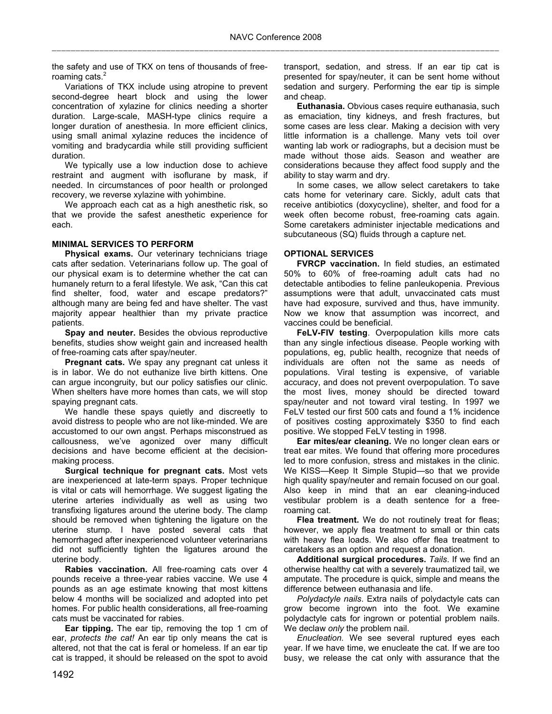the safety and use of TKX on tens of thousands of freeroaming cats. $<sup>2</sup>$ </sup>

Variations of TKX include using atropine to prevent second-degree heart block and using the lower concentration of xylazine for clinics needing a shorter duration. Large-scale, MASH-type clinics require a longer duration of anesthesia. In more efficient clinics, using small animal xylazine reduces the incidence of vomiting and bradycardia while still providing sufficient duration.

We typically use a low induction dose to achieve restraint and augment with isoflurane by mask, if needed. In circumstances of poor health or prolonged recovery, we reverse xylazine with yohimbine.

We approach each cat as a high anesthetic risk, so that we provide the safest anesthetic experience for each.

## **MINIMAL SERVICES TO PERFORM**

**Physical exams.** Our veterinary technicians triage cats after sedation. Veterinarians follow up. The goal of our physical exam is to determine whether the cat can humanely return to a feral lifestyle. We ask, "Can this cat find shelter, food, water and escape predators?" although many are being fed and have shelter. The vast majority appear healthier than my private practice patients.

**Spay and neuter.** Besides the obvious reproductive benefits, studies show weight gain and increased health of free-roaming cats after spay/neuter.

**Pregnant cats.** We spay any pregnant cat unless it is in labor. We do not euthanize live birth kittens. One can argue incongruity, but our policy satisfies our clinic. When shelters have more homes than cats, we will stop spaying pregnant cats.

We handle these spays quietly and discreetly to avoid distress to people who are not like-minded. We are accustomed to our own angst. Perhaps misconstrued as callousness, we've agonized over many difficult decisions and have become efficient at the decisionmaking process.

**Surgical technique for pregnant cats.** Most vets are inexperienced at late-term spays. Proper technique is vital or cats will hemorrhage. We suggest ligating the uterine arteries individually as well as using two transfixing ligatures around the uterine body. The clamp should be removed when tightening the ligature on the uterine stump. I have posted several cats that hemorrhaged after inexperienced volunteer veterinarians did not sufficiently tighten the ligatures around the uterine body.

**Rabies vaccination.** All free-roaming cats over 4 pounds receive a three-year rabies vaccine. We use 4 pounds as an age estimate knowing that most kittens below 4 months will be socialized and adopted into pet homes. For public health considerations, all free-roaming cats must be vaccinated for rabies.

**Ear tipping.** The ear tip, removing the top 1 cm of ear, *protects the cat!* An ear tip only means the cat is altered, not that the cat is feral or homeless. If an ear tip cat is trapped, it should be released on the spot to avoid

transport, sedation, and stress. If an ear tip cat is presented for spay/neuter, it can be sent home without sedation and surgery. Performing the ear tip is simple and cheap.

**Euthanasia.** Obvious cases require euthanasia, such as emaciation, tiny kidneys, and fresh fractures, but some cases are less clear. Making a decision with very little information is a challenge. Many vets toil over wanting lab work or radiographs, but a decision must be made without those aids. Season and weather are considerations because they affect food supply and the ability to stay warm and dry.

In some cases, we allow select caretakers to take cats home for veterinary care. Sickly, adult cats that receive antibiotics (doxycycline), shelter, and food for a week often become robust, free-roaming cats again. Some caretakers administer injectable medications and subcutaneous (SQ) fluids through a capture net.

## **OPTIONAL SERVICES**

**FVRCP vaccination.** In field studies, an estimated 50% to 60% of free-roaming adult cats had no detectable antibodies to feline panleukopenia. Previous assumptions were that adult, unvaccinated cats must have had exposure, survived and thus, have immunity. Now we know that assumption was incorrect, and vaccines could be beneficial.

**FeLV-FIV testing**. Overpopulation kills more cats than any single infectious disease. People working with populations, eg, public health, recognize that needs of individuals are often not the same as needs of populations. Viral testing is expensive, of variable accuracy, and does not prevent overpopulation. To save the most lives, money should be directed toward spay/neuter and not toward viral testing. In 1997 we FeLV tested our first 500 cats and found a 1% incidence of positives costing approximately \$350 to find each positive. We stopped FeLV testing in 1998.

**Ear mites/ear cleaning.** We no longer clean ears or treat ear mites. We found that offering more procedures led to more confusion, stress and mistakes in the clinic. We KISS—Keep It Simple Stupid—so that we provide high quality spay/neuter and remain focused on our goal. Also keep in mind that an ear cleaning-induced vestibular problem is a death sentence for a freeroaming cat.

Flea treatment. We do not routinely treat for fleas; however, we apply flea treatment to small or thin cats with heavy flea loads. We also offer flea treatment to caretakers as an option and request a donation.

**Additional surgical procedures.** *Tails*. If we find an otherwise healthy cat with a severely traumatized tail, we amputate. The procedure is quick, simple and means the difference between euthanasia and life.

*Polydactyle nails*. Extra nails of polydactyle cats can grow become ingrown into the foot. We examine polydactyle cats for ingrown or potential problem nails. We declaw *only* the problem nail.

*Enucleation.* We see several ruptured eyes each year. If we have time, we enucleate the cat. If we are too busy, we release the cat only with assurance that the